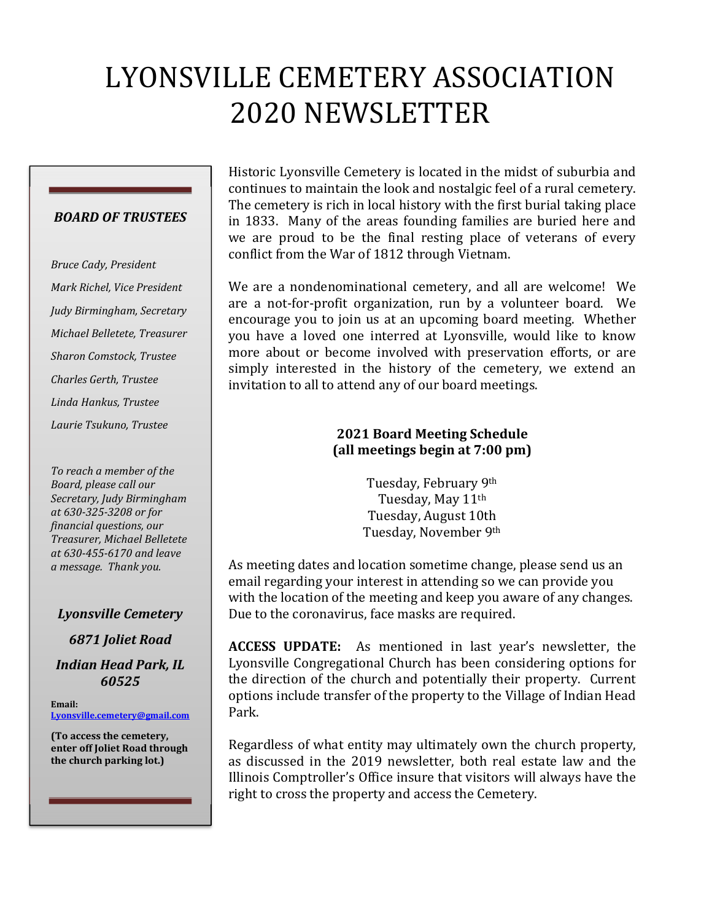# LYONSVILLE CEMETERY ASSOCIATION 2020 NEWSLETTER

#### *BOARD OF TRUSTEES*

*Bruce Cady, President Mark Richel, Vice President Judy Birmingham, Secretary Michael Belletete, Treasurer Sharon Comstock, Trustee Charles Gerth, Trustee Linda Hankus, Trustee Laurie Tsukuno, Trustee* 

*To reach a member of the Board, please call our Secretary, Judy Birmingham at 630-325-3208 or for financial questions, our Treasurer, Michael Belletete at 630-455-6170 and leave a message. Thank you.* 

#### *Lyonsville Cemetery*

*6871 Joliet Road Indian Head Park, IL 60525* 

**Email: Lyonsville.cemetery@gmail.com**

**(To access the cemetery, enter off Joliet Road through the church parking lot.)** 

Historic Lyonsville Cemetery is located in the midst of suburbia and continues to maintain the look and nostalgic feel of a rural cemetery. The cemetery is rich in local history with the first burial taking place in 1833. Many of the areas founding families are buried here and we are proud to be the final resting place of veterans of every conflict from the War of 1812 through Vietnam.

We are a nondenominational cemetery, and all are welcome! We are a not-for-profit organization, run by a volunteer board. We encourage you to join us at an upcoming board meeting. Whether you have a loved one interred at Lyonsville, would like to know more about or become involved with preservation efforts, or are simply interested in the history of the cemetery, we extend an invitation to all to attend any of our board meetings.

## **2021 Board Meeting Schedule (all meetings begin at 7:00 pm)**

Tuesday, February 9th Tuesday, May 11th Tuesday, August 10th Tuesday, November 9th

As meeting dates and location sometime change, please send us an email regarding your interest in attending so we can provide you with the location of the meeting and keep you aware of any changes. Due to the coronavirus, face masks are required.

**ACCESS UPDATE:** As mentioned in last year's newsletter, the Lyonsville Congregational Church has been considering options for the direction of the church and potentially their property. Current options include transfer of the property to the Village of Indian Head Park.

Regardless of what entity may ultimately own the church property, as discussed in the 2019 newsletter, both real estate law and the Illinois Comptroller's Office insure that visitors will always have the right to cross the property and access the Cemetery.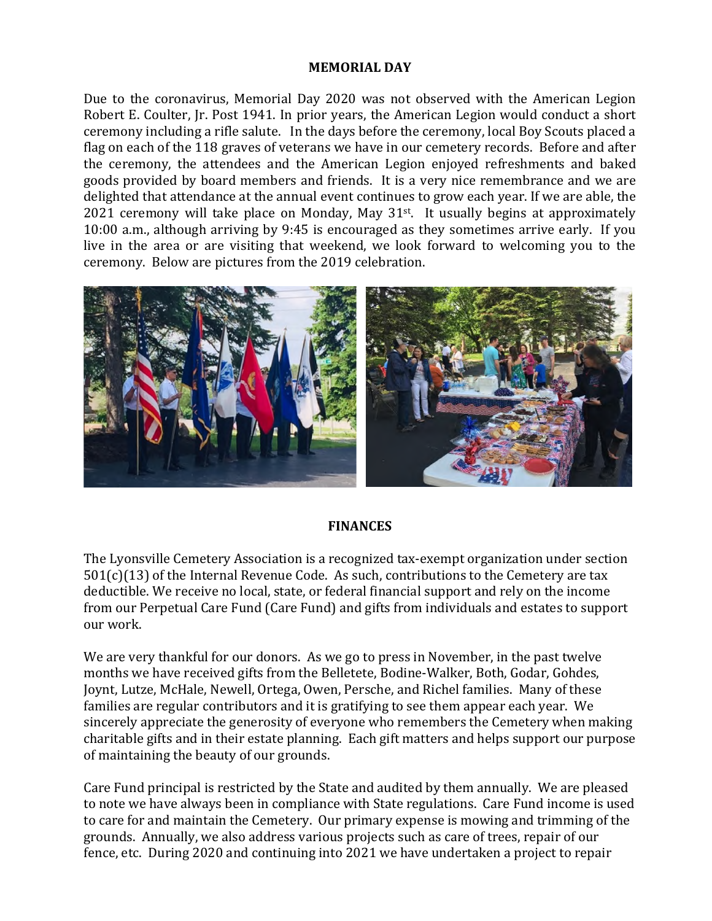#### **MEMORIAL DAY**

Due to the coronavirus, Memorial Day 2020 was not observed with the American Legion Robert E. Coulter, Jr. Post 1941. In prior years, the American Legion would conduct a short ceremony including a rifle salute. In the days before the ceremony, local Boy Scouts placed a flag on each of the 118 graves of veterans we have in our cemetery records. Before and after the ceremony, the attendees and the American Legion enjoyed refreshments and baked goods provided by board members and friends. It is a very nice remembrance and we are delighted that attendance at the annual event continues to grow each year. If we are able, the 2021 ceremony will take place on Monday, May 31st. It usually begins at approximately 10:00 a.m., although arriving by 9:45 is encouraged as they sometimes arrive early. If you live in the area or are visiting that weekend, we look forward to welcoming you to the ceremony. Below are pictures from the 2019 celebration.



#### **FINANCES**

The Lyonsville Cemetery Association is a recognized tax-exempt organization under section  $501(c)(13)$  of the Internal Revenue Code. As such, contributions to the Cemetery are tax deductible. We receive no local, state, or federal financial support and rely on the income from our Perpetual Care Fund (Care Fund) and gifts from individuals and estates to support our work.

We are very thankful for our donors. As we go to press in November, in the past twelve months we have received gifts from the Belletete, Bodine-Walker, Both, Godar, Gohdes, Joynt, Lutze, McHale, Newell, Ortega, Owen, Persche, and Richel families. Many of these families are regular contributors and it is gratifying to see them appear each year. We sincerely appreciate the generosity of everyone who remembers the Cemetery when making charitable gifts and in their estate planning. Each gift matters and helps support our purpose of maintaining the beauty of our grounds.

Care Fund principal is restricted by the State and audited by them annually. We are pleased to note we have always been in compliance with State regulations. Care Fund income is used to care for and maintain the Cemetery. Our primary expense is mowing and trimming of the grounds. Annually, we also address various projects such as care of trees, repair of our fence, etc. During 2020 and continuing into 2021 we have undertaken a project to repair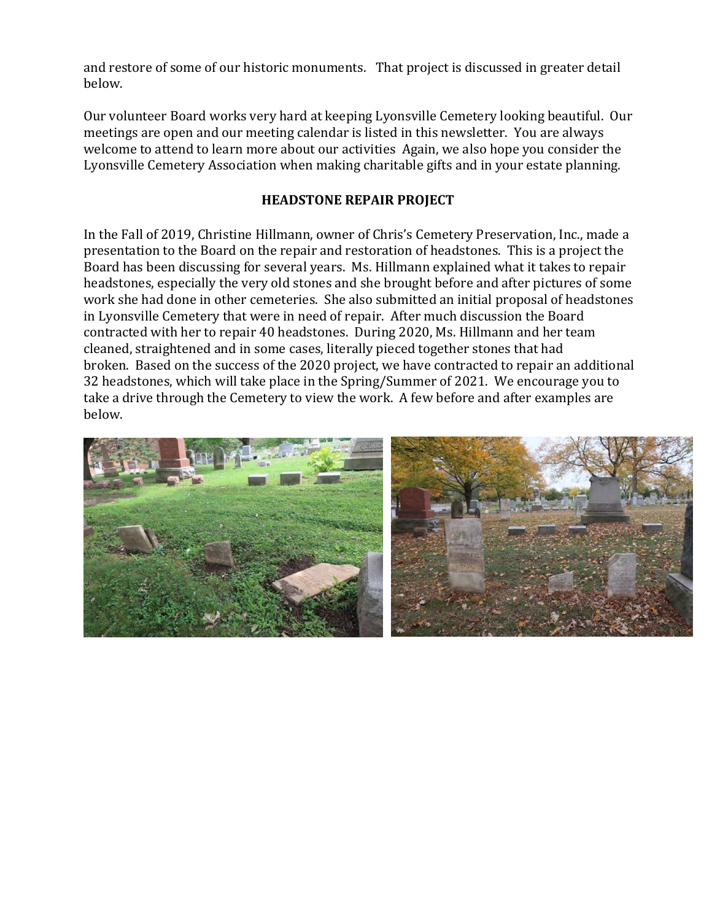and restore of some of our historic monuments. That project is discussed in greater detail below.

Our volunteer Board works very hard at keeping Lyonsville Cemetery looking beautiful. Our meetings are open and our meeting calendar is listed in this newsletter. You are always welcome to attend to learn more about our activities Again, we also hope you consider the Lyonsville Cemetery Association when making charitable gifts and in your estate planning.

## **HEADSTONE REPAIR PROJECT**

In the Fall of 2019, Christine Hillmann, owner of Chris's Cemetery Preservation, Inc., made a presentation to the Board on the repair and restoration of headstones. This is a project the Board has been discussing for several years. Ms. Hillmann explained what it takes to repair headstones, especially the very old stones and she brought before and after pictures of some work she had done in other cemeteries. She also submitted an initial proposal of headstones in Lyonsville Cemetery that were in need of repair. After much discussion the Board contracted with her to repair 40 headstones. During 2020, Ms. Hillmann and her team cleaned, straightened and in some cases, literally pieced together stones that had broken. Based on the success of the 2020 project, we have contracted to repair an additional 32 headstones, which will take place in the Spring/Summer of 2021. We encourage you to take a drive through the Cemetery to view the work. A few before and after examples are below.

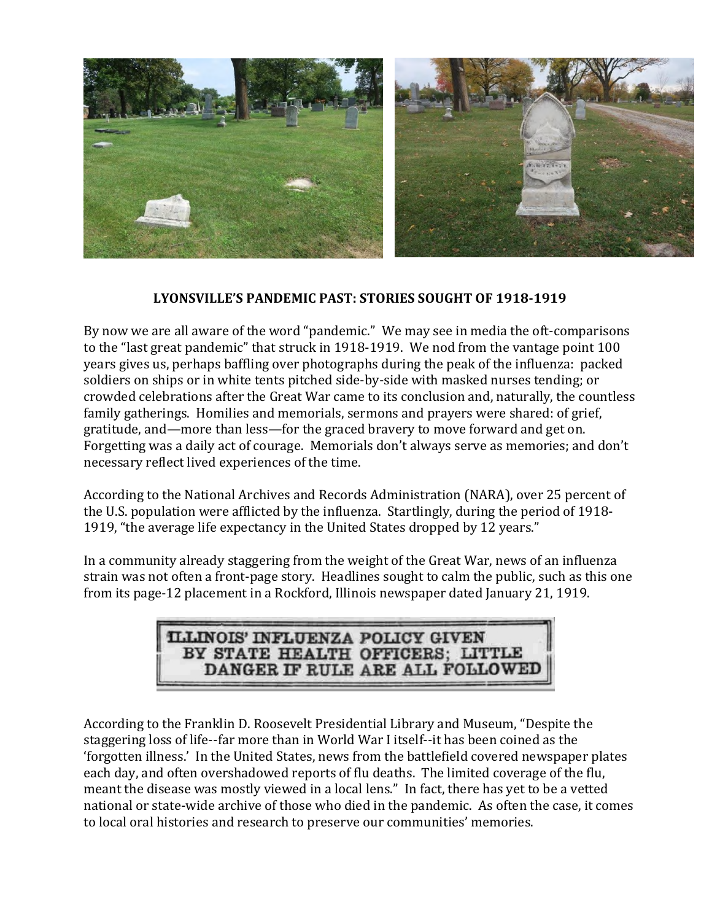

#### **LYONSVILLE'S PANDEMIC PAST: STORIES SOUGHT OF 1918-1919**

By now we are all aware of the word "pandemic." We may see in media the oft-comparisons to the "last great pandemic" that struck in 1918-1919. We nod from the vantage point 100 years gives us, perhaps baffling over photographs during the peak of the influenza: packed soldiers on ships or in white tents pitched side-by-side with masked nurses tending; or crowded celebrations after the Great War came to its conclusion and, naturally, the countless family gatherings. Homilies and memorials, sermons and prayers were shared: of grief, gratitude, and—more than less—for the graced bravery to move forward and get on. Forgetting was a daily act of courage. Memorials don't always serve as memories; and don't necessary reflect lived experiences of the time.

According to the National Archives and Records Administration (NARA), over 25 percent of the U.S. population were afflicted by the influenza. Startlingly, during the period of 1918- 1919, "the average life expectancy in the United States dropped by 12 years."

In a community already staggering from the weight of the Great War, news of an influenza strain was not often a front-page story. Headlines sought to calm the public, such as this one from its page-12 placement in a Rockford, Illinois newspaper dated January 21, 1919.

# **ILLINOIS' INFLUENZA POLICY GIVEN** BY STATE HEALTH OFFICERS; LITTLE DANGER IF RULE ARE ALL FOLLOWEI

According to the Franklin D. Roosevelt Presidential Library and Museum, "Despite the staggering loss of life--far more than in World War I itself--it has been coined as the 'forgotten illness.' In the United States, news from the battlefield covered newspaper plates each day, and often overshadowed reports of flu deaths. The limited coverage of the flu, meant the disease was mostly viewed in a local lens." In fact, there has yet to be a vetted national or state-wide archive of those who died in the pandemic. As often the case, it comes to local oral histories and research to preserve our communities' memories.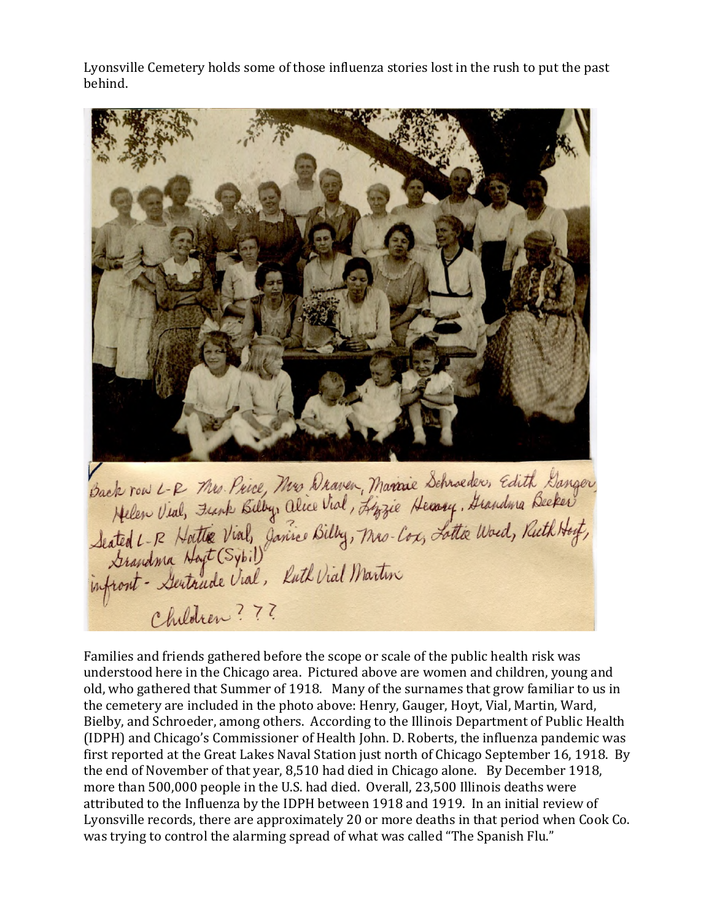Lyonsville Cemetery holds some of those influenza stories lost in the rush to put the past behind.



Families and friends gathered before the scope or scale of the public health risk was understood here in the Chicago area. Pictured above are women and children, young and old, who gathered that Summer of 1918. Many of the surnames that grow familiar to us in the cemetery are included in the photo above: Henry, Gauger, Hoyt, Vial, Martin, Ward, Bielby, and Schroeder, among others. According to the Illinois Department of Public Health (IDPH) and Chicago's Commissioner of Health John. D. Roberts, the influenza pandemic was first reported at the Great Lakes Naval Station just north of Chicago September 16, 1918. By the end of November of that year, 8,510 had died in Chicago alone. By December 1918, more than 500,000 people in the U.S. had died. Overall, 23,500 Illinois deaths were attributed to the Influenza by the IDPH between 1918 and 1919. In an initial review of Lyonsville records, there are approximately 20 or more deaths in that period when Cook Co. was trying to control the alarming spread of what was called "The Spanish Flu."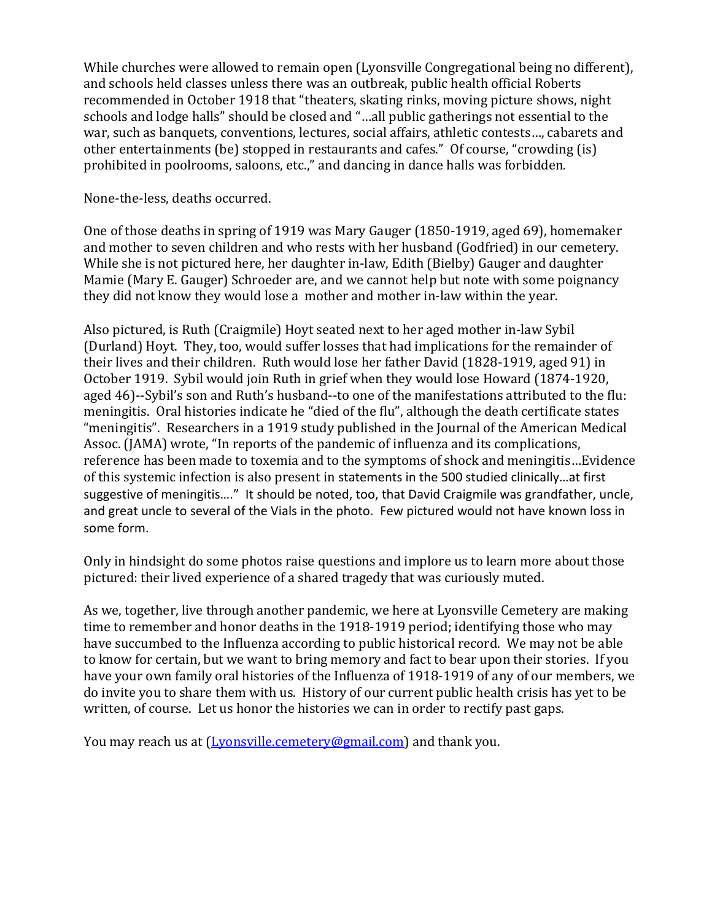While churches were allowed to remain open (Lyonsville Congregational being no different), and schools held classes unless there was an outbreak, public health official Roberts recommended in October 1918 that "theaters, skating rinks, moving picture shows, night schools and lodge halls" should be closed and "…all public gatherings not essential to the war, such as banquets, conventions, lectures, social affairs, athletic contests…, cabarets and other entertainments (be) stopped in restaurants and cafes." Of course, "crowding (is) prohibited in poolrooms, saloons, etc.," and dancing in dance halls was forbidden.

None-the-less, deaths occurred.

One of those deaths in spring of 1919 was Mary Gauger (1850-1919, aged 69), homemaker and mother to seven children and who rests with her husband (Godfried) in our cemetery. While she is not pictured here, her daughter in-law, Edith (Bielby) Gauger and daughter Mamie (Mary E. Gauger) Schroeder are, and we cannot help but note with some poignancy they did not know they would lose a mother and mother in-law within the year.

Also pictured, is Ruth (Craigmile) Hoyt seated next to her aged mother in-law Sybil (Durland) Hoyt. They, too, would suffer losses that had implications for the remainder of their lives and their children. Ruth would lose her father David (1828-1919, aged 91) in October 1919. Sybil would join Ruth in grief when they would lose Howard (1874-1920, aged 46)--Sybil's son and Ruth's husband--to one of the manifestations attributed to the flu: meningitis. Oral histories indicate he "died of the flu", although the death certificate states "meningitis". Researchers in a 1919 study published in the Journal of the American Medical Assoc. (JAMA) wrote, "In reports of the pandemic of influenza and its complications, reference has been made to toxemia and to the symptoms of shock and meningitis…Evidence of this systemic infection is also present in statements in the 500 studied clinically…at first suggestive of meningitis…." It should be noted, too, that David Craigmile was grandfather, uncle, and great uncle to several of the Vials in the photo. Few pictured would not have known loss in some form.

Only in hindsight do some photos raise questions and implore us to learn more about those pictured: their lived experience of a shared tragedy that was curiously muted.

As we, together, live through another pandemic, we here at Lyonsville Cemetery are making time to remember and honor deaths in the 1918-1919 period; identifying those who may have succumbed to the Influenza according to public historical record. We may not be able to know for certain, but we want to bring memory and fact to bear upon their stories. If you have your own family oral histories of the Influenza of 1918-1919 of any of our members, we do invite you to share them with us. History of our current public health crisis has yet to be written, of course. Let us honor the histories we can in order to rectify past gaps.

You may reach us at (Lyonsville.cemetery@gmail.com) and thank you.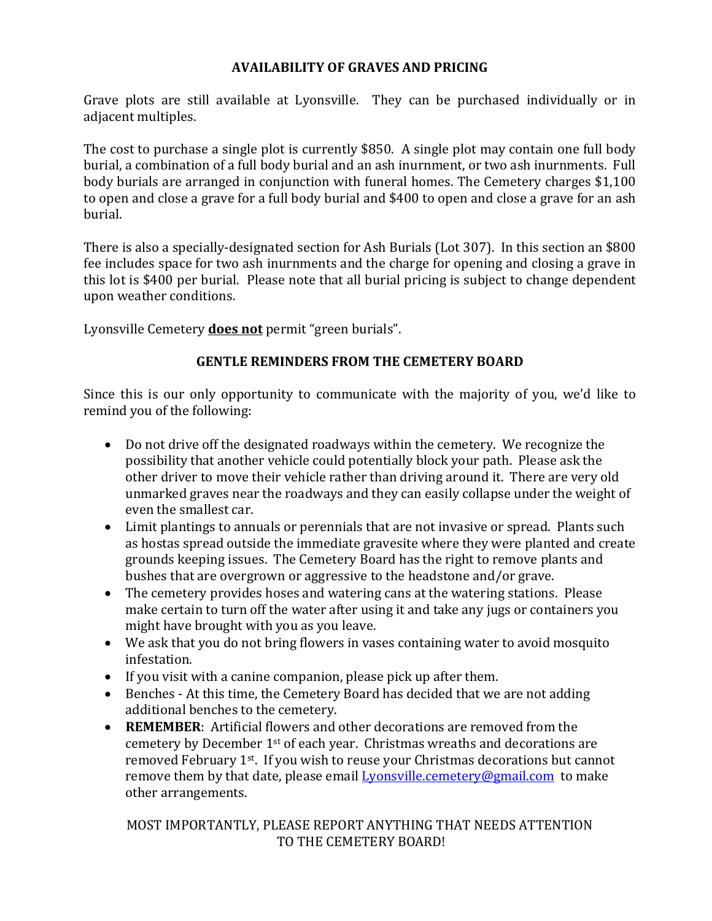# **AVAILABILITY OF GRAVES AND PRICING**

Grave plots are still available at Lyonsville. They can be purchased individually or in adjacent multiples.

The cost to purchase a single plot is currently \$850. A single plot may contain one full body burial, a combination of a full body burial and an ash inurnment, or two ash inurnments. Full body burials are arranged in conjunction with funeral homes. The Cemetery charges \$1,100 to open and close a grave for a full body burial and \$400 to open and close a grave for an ash burial.

There is also a specially-designated section for Ash Burials (Lot 307). In this section an \$800 fee includes space for two ash inurnments and the charge for opening and closing a grave in this lot is \$400 per burial. Please note that all burial pricing is subject to change dependent upon weather conditions.

Lyonsville Cemetery **does not** permit "green burials".

# **GENTLE REMINDERS FROM THE CEMETERY BOARD**

Since this is our only opportunity to communicate with the majority of you, we'd like to remind you of the following:

- Do not drive off the designated roadways within the cemetery. We recognize the possibility that another vehicle could potentially block your path. Please ask the other driver to move their vehicle rather than driving around it. There are very old unmarked graves near the roadways and they can easily collapse under the weight of even the smallest car.
- Limit plantings to annuals or perennials that are not invasive or spread. Plants such as hostas spread outside the immediate gravesite where they were planted and create grounds keeping issues. The Cemetery Board has the right to remove plants and bushes that are overgrown or aggressive to the headstone and/or grave.
- The cemetery provides hoses and watering cans at the watering stations. Please make certain to turn off the water after using it and take any jugs or containers you might have brought with you as you leave.
- We ask that you do not bring flowers in vases containing water to avoid mosquito infestation.
- If you visit with a canine companion, please pick up after them.
- Benches At this time, the Cemetery Board has decided that we are not adding additional benches to the cemetery.
- **REMEMBER**: Artificial flowers and other decorations are removed from the cemetery by December 1st of each year. Christmas wreaths and decorations are removed February 1st. If you wish to reuse your Christmas decorations but cannot remove them by that date, please email Lyonsville.cemetery@gmail.com to make other arrangements.

# MOST IMPORTANTLY, PLEASE REPORT ANYTHING THAT NEEDS ATTENTION TO THE CEMETERY BOARD!